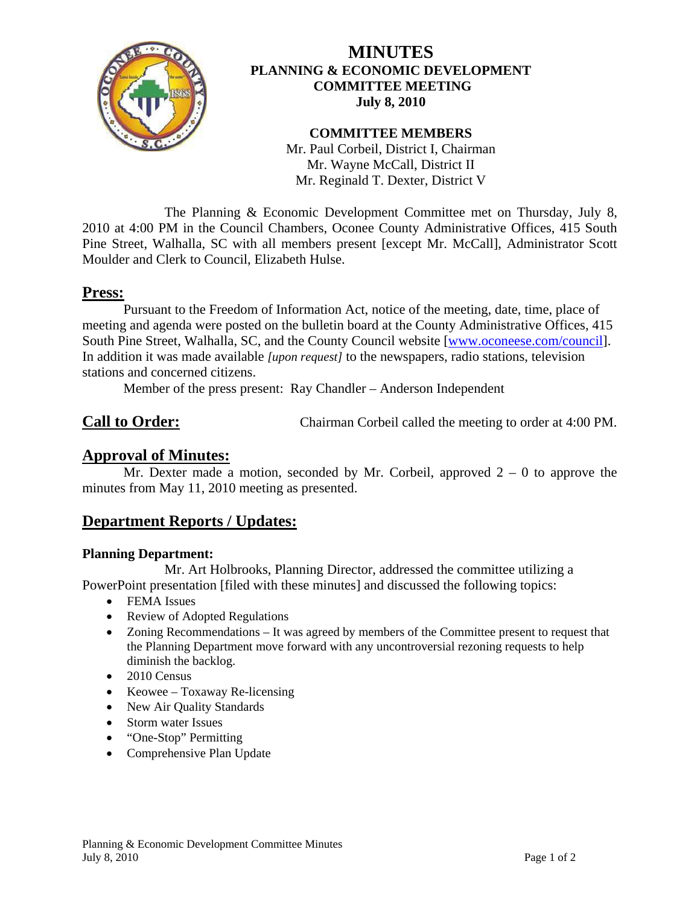

## **MINUTES PLANNING & ECONOMIC DEVELOPMENT COMMITTEE MEETING July 8, 2010**

#### **COMMITTEE MEMBERS**

Mr. Paul Corbeil, District I, Chairman Mr. Wayne McCall, District II Mr. Reginald T. Dexter, District V

 The Planning & Economic Development Committee met on Thursday, July 8, 2010 at 4:00 PM in the Council Chambers, Oconee County Administrative Offices, 415 South Pine Street, Walhalla, SC with all members present [except Mr. McCall], Administrator Scott Moulder and Clerk to Council, Elizabeth Hulse.

## **Press:**

 Pursuant to the Freedom of Information Act, notice of the meeting, date, time, place of meeting and agenda were posted on the bulletin board at the County Administrative Offices, 415 South Pine Street, Walhalla, SC, and the County Council website [\[www.oconeese.com/council\]](http://www.oconeese.com/council). In addition it was made available *[upon request]* to the newspapers, radio stations, television stations and concerned citizens.

Member of the press present: Ray Chandler – Anderson Independent

**Call to Order:** Chairman Corbeil called the meeting to order at 4:00 PM.

## **Approval of Minutes:**

Mr. Dexter made a motion, seconded by Mr. Corbeil, approved  $2 - 0$  to approve the minutes from May 11, 2010 meeting as presented.

# **Department Reports / Updates:**

#### **Planning Department:**

 Mr. Art Holbrooks, Planning Director, addressed the committee utilizing a PowerPoint presentation [filed with these minutes] and discussed the following topics:

- FEMA Issues
- Review of Adopted Regulations
- Zoning Recommendations It was agreed by members of the Committee present to request that the Planning Department move forward with any uncontroversial rezoning requests to help diminish the backlog.
- 2010 Census
- Keowee Toxaway Re-licensing
- New Air Quality Standards
- Storm water Issues
- "One-Stop" Permitting
- Comprehensive Plan Update